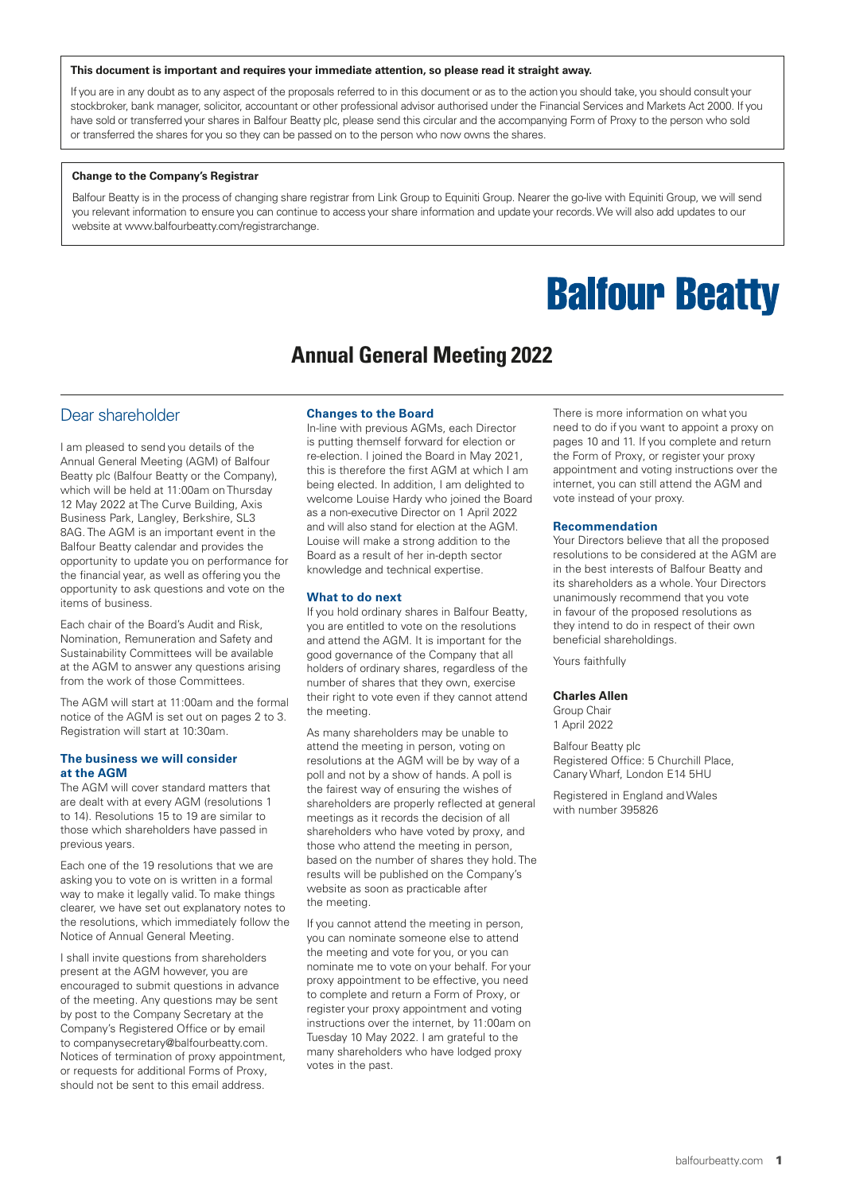#### **This document is important and requires your immediate attention, so please read it straight away.**

If you are in any doubt as to any aspect of the proposals referred to in this document or as to the action you should take, you should consult your stockbroker, bank manager, solicitor, accountant or other professional advisor authorised under the Financial Services and Markets Act 2000. If you have sold or transferred your shares in Balfour Beatty plc, please send this circular and the accompanying Form of Proxy to the person who sold or transferred the shares for you so they can be passed on to the person who now owns the shares.

#### **Change to the Company's Registrar**

Balfour Beatty is in the process of changing share registrar from Link Group to Equiniti Group. Nearer the go-live with Equiniti Group, we will send you relevant information to ensure you can continue to access your share information and update your records. We will also add updates to our website at www.balfourbeatty.com/registrarchange.

# **Balfour Beatty**

## **Annual General Meeting 2022**

## Dear shareholder

I am pleased to send you details of the Annual General Meeting (AGM) of Balfour Beatty plc (Balfour Beatty or the Company), which will be held at 11:00am on Thursday 12 May 2022 at The Curve Building, Axis Business Park, Langley, Berkshire, SL3 8AG. The AGM is an important event in the Balfour Beatty calendar and provides the opportunity to update you on performance for the financial year, as well as offering you the opportunity to ask questions and vote on the items of business.

Each chair of the Board's Audit and Risk, Nomination, Remuneration and Safety and Sustainability Committees will be available at the AGM to answer any questions arising from the work of those Committees.

The AGM will start at 11:00am and the formal notice of the AGM is set out on pages 2 to 3. Registration will start at 10:30am.

#### **The business we will consider at the AGM**

The AGM will cover standard matters that are dealt with at every AGM (resolutions 1 to 14). Resolutions 15 to 19 are similar to those which shareholders have passed in previous years.

Each one of the 19 resolutions that we are asking you to vote on is written in a formal way to make it legally valid. To make things clearer, we have set out explanatory notes to the resolutions, which immediately follow the Notice of Annual General Meeting.

I shall invite questions from shareholders present at the AGM however, you are encouraged to submit questions in advance of the meeting. Any questions may be sent by post to the Company Secretary at the Company's Registered Office or by email to companysecretary@balfourbeatty.com. Notices of termination of proxy appointment, or requests for additional Forms of Proxy, should not be sent to this email address.

#### **Changes to the Board**

In-line with previous AGMs, each Director is putting themself forward for election or re-election. I joined the Board in May 2021, this is therefore the first AGM at which I am being elected. In addition, I am delighted to welcome Louise Hardy who joined the Board as a non-executive Director on 1 April 2022 and will also stand for election at the AGM. Louise will make a strong addition to the Board as a result of her in-depth sector knowledge and technical expertise.

#### **What to do next**

If you hold ordinary shares in Balfour Beatty, you are entitled to vote on the resolutions and attend the AGM. It is important for the good governance of the Company that all holders of ordinary shares, regardless of the number of shares that they own, exercise their right to vote even if they cannot attend the meeting.

As many shareholders may be unable to attend the meeting in person, voting on resolutions at the AGM will be by way of a poll and not by a show of hands. A poll is the fairest way of ensuring the wishes of shareholders are properly reflected at general meetings as it records the decision of all shareholders who have voted by proxy, and those who attend the meeting in person, based on the number of shares they hold. The results will be published on the Company's website as soon as practicable after the meeting.

If you cannot attend the meeting in person, you can nominate someone else to attend the meeting and vote for you, or you can nominate me to vote on your behalf. For your proxy appointment to be effective, you need to complete and return a Form of Proxy, or register your proxy appointment and voting instructions over the internet, by 11:00am on Tuesday 10 May 2022. I am grateful to the many shareholders who have lodged proxy votes in the past.

There is more information on what you need to do if you want to appoint a proxy on pages 10 and 11. If you complete and return the Form of Proxy, or register your proxy appointment and voting instructions over the internet, you can still attend the AGM and vote instead of your proxy.

#### **Recommendation**

Your Directors believe that all the proposed resolutions to be considered at the AGM are in the best interests of Balfour Beatty and its shareholders as a whole. Your Directors unanimously recommend that you vote in favour of the proposed resolutions as they intend to do in respect of their own beneficial shareholdings.

Yours faithfully

#### **Charles Allen**

Group Chair 1 April 2022

Balfour Beatty plc Registered Office: 5 Churchill Place, Canary Wharf, London E14 5HU

Registered in England and Wales with number 395826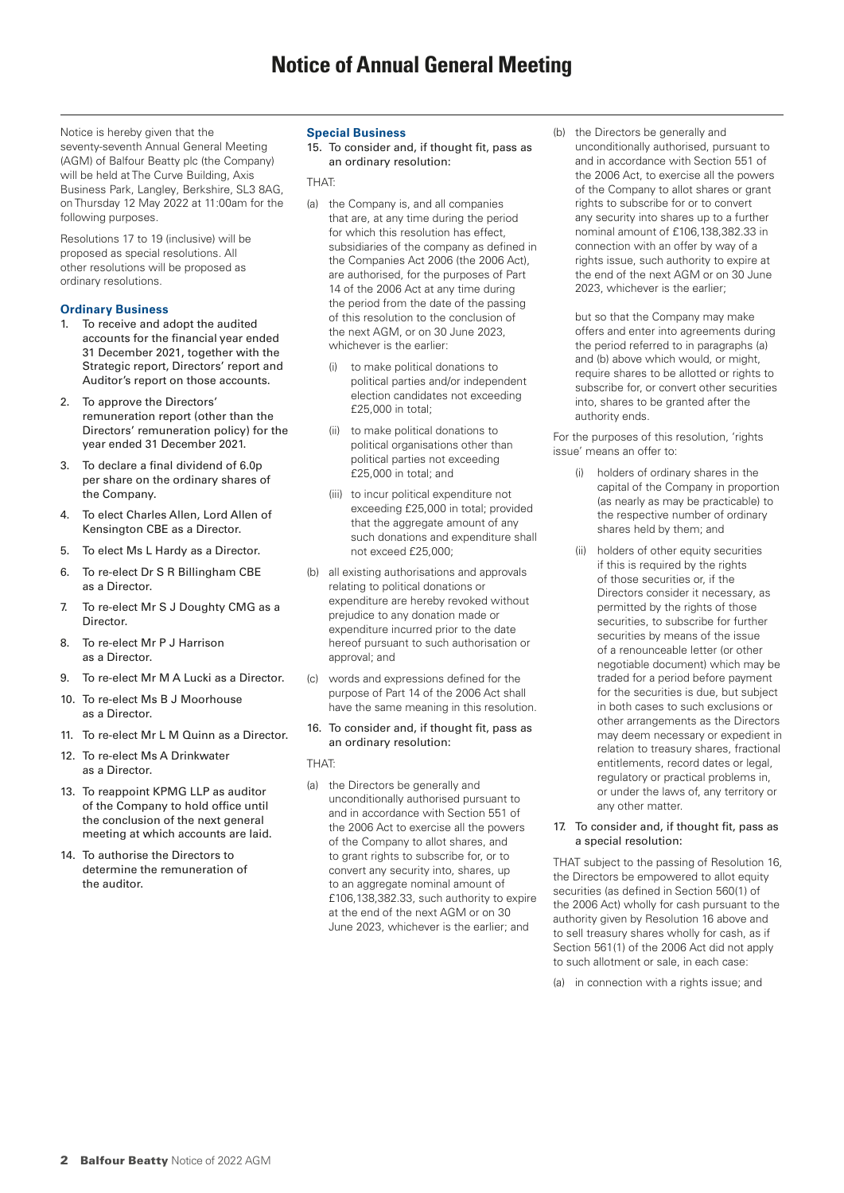Notice is hereby given that the seventy-seventh Annual General Meeting (AGM) of Balfour Beatty plc (the Company) will be held at The Curve Building, Axis Business Park, Langley, Berkshire, SL3 8AG, on Thursday 12 May 2022 at 11:00am for the following purposes.

Resolutions 17 to 19 (inclusive) will be proposed as special resolutions. All other resolutions will be proposed as ordinary resolutions.

## **Ordinary Business**

- 1. To receive and adopt the audited accounts for the financial year ended 31 December 2021, together with the Strategic report, Directors' report and Auditor's report on those accounts.
- 2. To approve the Directors' remuneration report (other than the Directors' remuneration policy) for the year ended 31 December 2021.
- 3. To declare a final dividend of 6.0p per share on the ordinary shares of the Company.
- 4. To elect Charles Allen, Lord Allen of Kensington CBE as a Director.
- 5. To elect Ms L Hardy as a Director.
- 6. To re-elect Dr S R Billingham CBE as a Director.
- 7. To re-elect Mr S J Doughty CMG as a **Director**
- 8. To re-elect Mr P J Harrison as a Director.
- 9. To re-elect Mr M A Lucki as a Director.
- 10. To re-elect Ms B J Moorhouse as a Director.
- 11. To re-elect Mr L M Quinn as a Director.
- 12. To re-elect Ms A Drinkwater as a Director.
- 13. To reappoint KPMG LLP as auditor of the Company to hold office until the conclusion of the next general meeting at which accounts are laid.
- 14. To authorise the Directors to determine the remuneration of the auditor.

## **Special Business**

15. To consider and, if thought fit, pass as an ordinary resolution:

**THAT** 

- (a) the Company is, and all companies that are, at any time during the period for which this resolution has effect, subsidiaries of the company as defined in the Companies Act 2006 (the 2006 Act), are authorised, for the purposes of Part 14 of the 2006 Act at any time during the period from the date of the passing of this resolution to the conclusion of the next AGM, or on 30 June 2023, whichever is the earlier:
	- (i) to make political donations to political parties and/or independent election candidates not exceeding £25,000 in total;
	- (ii) to make political donations to political organisations other than political parties not exceeding £25,000 in total; and
	- (iii) to incur political expenditure not exceeding £25,000 in total; provided that the aggregate amount of any such donations and expenditure shall not exceed £25,000;
- (b) all existing authorisations and approvals relating to political donations or expenditure are hereby revoked without prejudice to any donation made or expenditure incurred prior to the date hereof pursuant to such authorisation or approval; and
- (c) words and expressions defined for the purpose of Part 14 of the 2006 Act shall have the same meaning in this resolution.

## 16. To consider and, if thought fit, pass as an ordinary resolution:

THAT:

(a) the Directors be generally and unconditionally authorised pursuant to and in accordance with Section 551 of the 2006 Act to exercise all the powers of the Company to allot shares, and to grant rights to subscribe for, or to convert any security into, shares, up to an aggregate nominal amount of £106,138,382.33, such authority to expire at the end of the next AGM or on 30 June 2023, whichever is the earlier; and

(b) the Directors be generally and unconditionally authorised, pursuant to and in accordance with Section 551 of the 2006 Act, to exercise all the powers of the Company to allot shares or grant rights to subscribe for or to convert any security into shares up to a further nominal amount of £106,138,382.33 in connection with an offer by way of a rights issue, such authority to expire at the end of the next AGM or on 30 June 2023, whichever is the earlier;

 but so that the Company may make offers and enter into agreements during the period referred to in paragraphs (a) and (b) above which would, or might, require shares to be allotted or rights to subscribe for, or convert other securities into, shares to be granted after the authority ends.

For the purposes of this resolution, 'rights issue' means an offer to:

- holders of ordinary shares in the capital of the Company in proportion (as nearly as may be practicable) to the respective number of ordinary shares held by them; and
- (ii) holders of other equity securities if this is required by the rights of those securities or, if the Directors consider it necessary, as permitted by the rights of those securities, to subscribe for further securities by means of the issue of a renounceable letter (or other negotiable document) which may be traded for a period before payment for the securities is due, but subject in both cases to such exclusions or other arrangements as the Directors may deem necessary or expedient in relation to treasury shares, fractional entitlements, record dates or legal, regulatory or practical problems in, or under the laws of, any territory or any other matter.

#### 17. To consider and, if thought fit, pass as a special resolution:

THAT subject to the passing of Resolution 16, the Directors be empowered to allot equity securities (as defined in Section 560(1) of the 2006 Act) wholly for cash pursuant to the authority given by Resolution 16 above and to sell treasury shares wholly for cash, as if Section 561(1) of the 2006 Act did not apply to such allotment or sale, in each case:

(a) in connection with a rights issue; and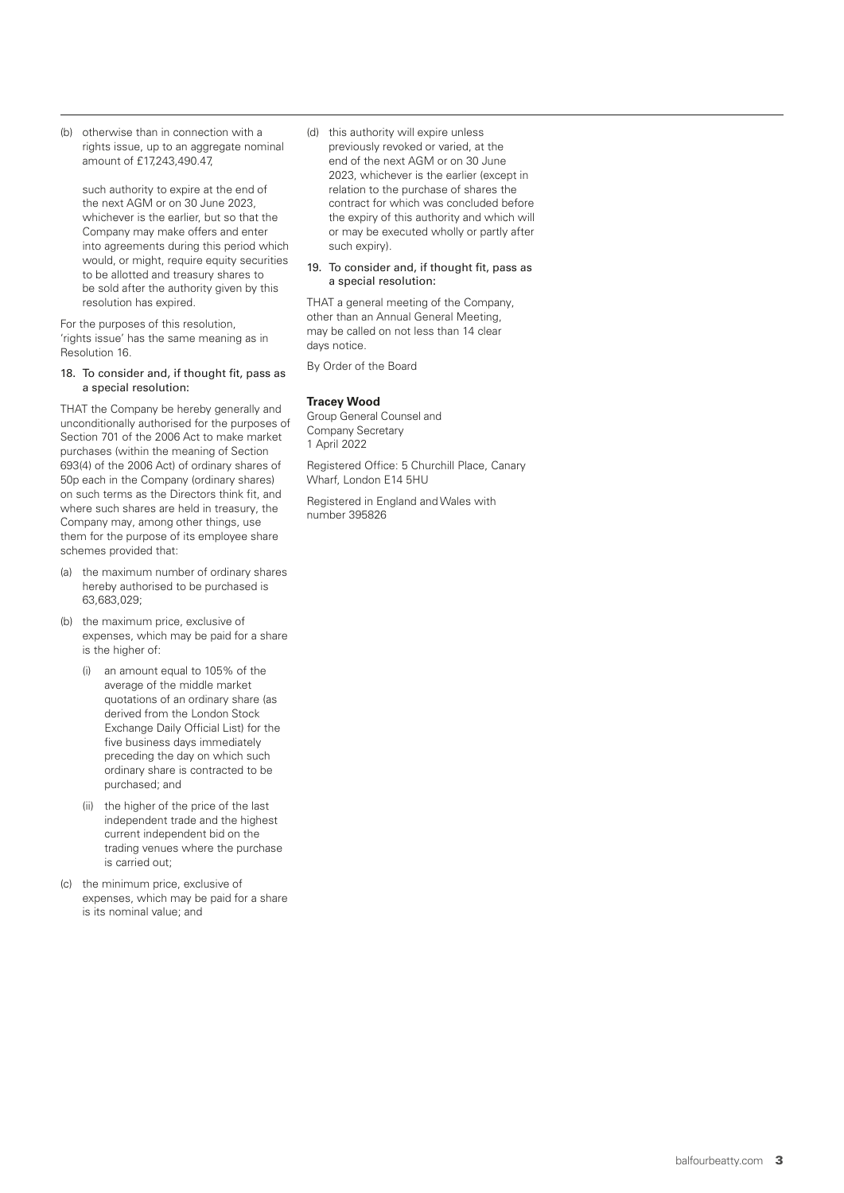(b) otherwise than in connection with a rights issue, up to an aggregate nominal amount of £17,243,490.47,

 such authority to expire at the end of the next AGM or on 30 June 2023, whichever is the earlier, but so that the Company may make offers and enter into agreements during this period which would, or might, require equity securities to be allotted and treasury shares to be sold after the authority given by this resolution has expired.

For the purposes of this resolution, 'rights issue' has the same meaning as in Resolution 16.

#### 18. To consider and, if thought fit, pass as a special resolution:

THAT the Company be hereby generally and unconditionally authorised for the purposes of Section 701 of the 2006 Act to make market purchases (within the meaning of Section 693(4) of the 2006 Act) of ordinary shares of 50p each in the Company (ordinary shares) on such terms as the Directors think fit, and where such shares are held in treasury, the Company may, among other things, use them for the purpose of its employee share schemes provided that:

- (a) the maximum number of ordinary shares hereby authorised to be purchased is 63,683,029;
- (b) the maximum price, exclusive of expenses, which may be paid for a share is the higher of:
	- (i) an amount equal to 105% of the average of the middle market quotations of an ordinary share (as derived from the London Stock Exchange Daily Official List) for the five business days immediately preceding the day on which such ordinary share is contracted to be purchased; and
	- (ii) the higher of the price of the last independent trade and the highest current independent bid on the trading venues where the purchase is carried out;
- (c) the minimum price, exclusive of expenses, which may be paid for a share is its nominal value; and

(d) this authority will expire unless previously revoked or varied, at the end of the next AGM or on 30 June 2023, whichever is the earlier (except in relation to the purchase of shares the contract for which was concluded before the expiry of this authority and which will or may be executed wholly or partly after such expiry).

#### 19. To consider and, if thought fit, pass as a special resolution:

THAT a general meeting of the Company, other than an Annual General Meeting, may be called on not less than 14 clear days notice.

By Order of the Board

## **Tracey Wood**

Group General Counsel and Company Secretary 1 April 2022

Registered Office: 5 Churchill Place, Canary Wharf, London E14 5HU

Registered in England and Wales with number 395826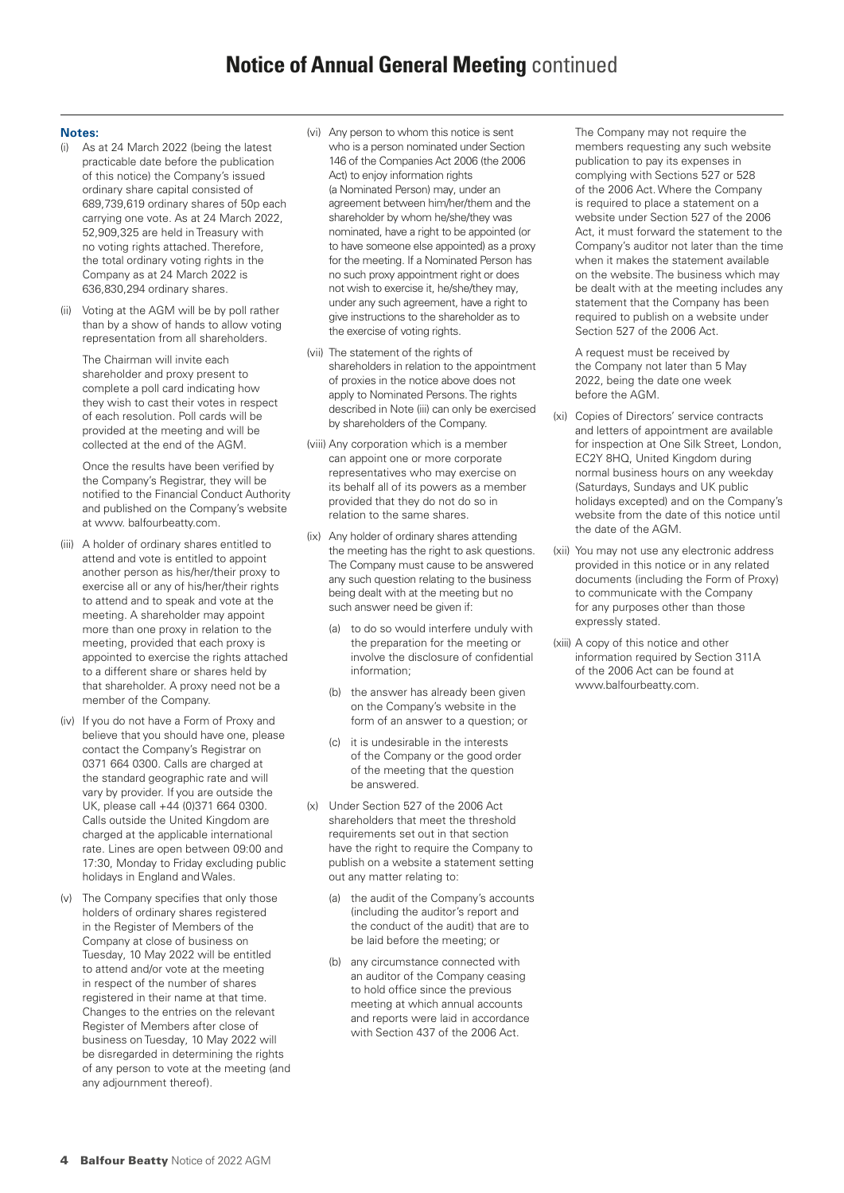# **Notice of Annual General Meeting** continued

#### **Notes:**

- (i) As at 24 March 2022 (being the latest practicable date before the publication of this notice) the Company's issued ordinary share capital consisted of 689,739,619 ordinary shares of 50p each carrying one vote. As at 24 March 2022, 52,909,325 are held in Treasury with no voting rights attached. Therefore, the total ordinary voting rights in the Company as at 24 March 2022 is 636,830,294 ordinary shares.
- (ii) Voting at the AGM will be by poll rather than by a show of hands to allow voting representation from all shareholders.

 The Chairman will invite each shareholder and proxy present to complete a poll card indicating how they wish to cast their votes in respect of each resolution. Poll cards will be provided at the meeting and will be collected at the end of the AGM.

 Once the results have been verified by the Company's Registrar, they will be notified to the Financial Conduct Authority and published on the Company's website at www. balfourbeatty.com.

- (iii) A holder of ordinary shares entitled to attend and vote is entitled to appoint another person as his/her/their proxy to exercise all or any of his/her/their rights to attend and to speak and vote at the meeting. A shareholder may appoint more than one proxy in relation to the meeting, provided that each proxy is appointed to exercise the rights attached to a different share or shares held by that shareholder. A proxy need not be a member of the Company.
- (iv) If you do not have a Form of Proxy and believe that you should have one, please contact the Company's Registrar on 0371 664 0300. Calls are charged at the standard geographic rate and will vary by provider. If you are outside the UK, please call +44 (0)371 664 0300. Calls outside the United Kingdom are charged at the applicable international rate. Lines are open between 09:00 and 17:30, Monday to Friday excluding public holidays in England and Wales.
- (v) The Company specifies that only those holders of ordinary shares registered in the Register of Members of the Company at close of business on Tuesday, 10 May 2022 will be entitled to attend and/or vote at the meeting in respect of the number of shares registered in their name at that time. Changes to the entries on the relevant Register of Members after close of business on Tuesday, 10 May 2022 will be disregarded in determining the rights of any person to vote at the meeting (and any adjournment thereof).
- (vi) Any person to whom this notice is sent who is a person nominated under Section 146 of the Companies Act 2006 (the 2006 Act) to enjoy information rights (a Nominated Person) may, under an agreement between him/her/them and the shareholder by whom he/she/they was nominated, have a right to be appointed (or to have someone else appointed) as a proxy for the meeting. If a Nominated Person has no such proxy appointment right or does not wish to exercise it, he/she/they may, under any such agreement, have a right to give instructions to the shareholder as to the exercise of voting rights.
- (vii) The statement of the rights of shareholders in relation to the appointment of proxies in the notice above does not apply to Nominated Persons. The rights described in Note (iii) can only be exercised by shareholders of the Company.
- (viii) Any corporation which is a member can appoint one or more corporate representatives who may exercise on its behalf all of its powers as a member provided that they do not do so in relation to the same shares.
- (ix) Any holder of ordinary shares attending the meeting has the right to ask questions. The Company must cause to be answered any such question relating to the business being dealt with at the meeting but no such answer need be given if:
	- (a) to do so would interfere unduly with the preparation for the meeting or involve the disclosure of confidential information;
	- (b) the answer has already been given on the Company's website in the form of an answer to a question; or
	- (c) it is undesirable in the interests of the Company or the good order of the meeting that the question be answered.
- (x) Under Section 527 of the 2006 Act shareholders that meet the threshold requirements set out in that section have the right to require the Company to publish on a website a statement setting out any matter relating to:
	- the audit of the Company's accounts (including the auditor's report and the conduct of the audit) that are to be laid before the meeting; or
	- (b) any circumstance connected with an auditor of the Company ceasing to hold office since the previous meeting at which annual accounts and reports were laid in accordance with Section 437 of the 2006 Act.

 The Company may not require the members requesting any such website publication to pay its expenses in complying with Sections 527 or 528 of the 2006 Act. Where the Company is required to place a statement on a website under Section 527 of the 2006 Act, it must forward the statement to the Company's auditor not later than the time when it makes the statement available on the website. The business which may be dealt with at the meeting includes any statement that the Company has been required to publish on a website under Section 527 of the 2006 Act.

 A request must be received by the Company not later than 5 May 2022, being the date one week before the AGM.

- (xi) Copies of Directors' service contracts and letters of appointment are available for inspection at One Silk Street, London, EC2Y 8HQ, United Kingdom during normal business hours on any weekday (Saturdays, Sundays and UK public holidays excepted) and on the Company's website from the date of this notice until the date of the AGM.
- (xii) You may not use any electronic address provided in this notice or in any related documents (including the Form of Proxy) to communicate with the Company for any purposes other than those expressly stated.
- (xiii) A copy of this notice and other information required by Section 311A of the 2006 Act can be found at www.balfourbeatty.com.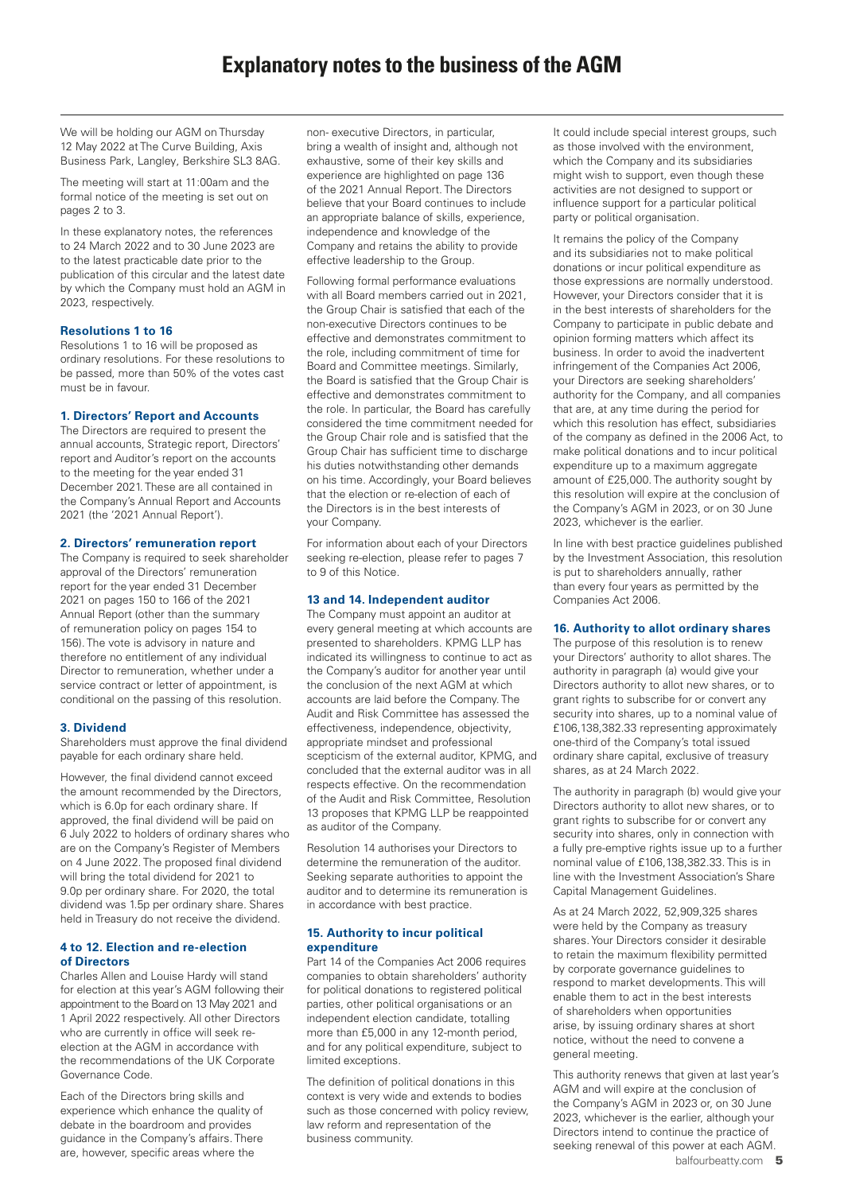We will be holding our AGM on Thursday 12 May 2022 at The Curve Building, Axis Business Park, Langley, Berkshire SL3 8AG.

The meeting will start at 11:00am and the formal notice of the meeting is set out on pages 2 to 3.

In these explanatory notes, the references to 24 March 2022 and to 30 June 2023 are to the latest practicable date prior to the publication of this circular and the latest date by which the Company must hold an AGM in 2023, respectively.

## **Resolutions 1 to 16**

Resolutions 1 to 16 will be proposed as ordinary resolutions. For these resolutions to be passed, more than 50% of the votes cast must be in favour.

## **1. Directors' Report and Accounts**

The Directors are required to present the annual accounts, Strategic report, Directors' report and Auditor's report on the accounts to the meeting for the year ended 31 December 2021. These are all contained in the Company's Annual Report and Accounts 2021 (the '2021 Annual Report').

## **2. Directors' remuneration report**

The Company is required to seek shareholder approval of the Directors' remuneration report for the year ended 31 December 2021 on pages 150 to 166 of the 2021 Annual Report (other than the summary of remuneration policy on pages 154 to 156). The vote is advisory in nature and therefore no entitlement of any individual Director to remuneration, whether under a service contract or letter of appointment, is conditional on the passing of this resolution.

## **3. Dividend**

Shareholders must approve the final dividend payable for each ordinary share held.

However, the final dividend cannot exceed the amount recommended by the Directors, which is 6.0p for each ordinary share. If approved, the final dividend will be paid on 6 July 2022 to holders of ordinary shares who are on the Company's Register of Members on 4 June 2022. The proposed final dividend will bring the total dividend for 2021 to 9.0p per ordinary share. For 2020, the total dividend was 1.5p per ordinary share. Shares held in Treasury do not receive the dividend.

## **4 to 12. Election and re-election of Directors**

Charles Allen and Louise Hardy will stand for election at this year's AGM following their appointment to the Board on 13 May 2021 and 1 April 2022 respectively. All other Directors who are currently in office will seek reelection at the AGM in accordance with the recommendations of the UK Corporate Governance Code.

Each of the Directors bring skills and experience which enhance the quality of debate in the boardroom and provides guidance in the Company's affairs. There are, however, specific areas where the

non- executive Directors, in particular, bring a wealth of insight and, although not exhaustive, some of their key skills and experience are highlighted on page 136 of the 2021 Annual Report. The Directors believe that your Board continues to include an appropriate balance of skills, experience, independence and knowledge of the Company and retains the ability to provide effective leadership to the Group.

Following formal performance evaluations with all Board members carried out in 2021, the Group Chair is satisfied that each of the non-executive Directors continues to be effective and demonstrates commitment to the role, including commitment of time for Board and Committee meetings. Similarly, the Board is satisfied that the Group Chair is effective and demonstrates commitment to the role. In particular, the Board has carefully considered the time commitment needed for the Group Chair role and is satisfied that the Group Chair has sufficient time to discharge his duties notwithstanding other demands on his time. Accordingly, your Board believes that the election or re-election of each of the Directors is in the best interests of your Company.

For information about each of your Directors seeking re-election, please refer to pages 7 to 9 of this Notice.

## **13 and 14. Independent auditor**

The Company must appoint an auditor at every general meeting at which accounts are presented to shareholders. KPMG LLP has indicated its willingness to continue to act as the Company's auditor for another year until the conclusion of the next AGM at which accounts are laid before the Company. The Audit and Risk Committee has assessed the effectiveness, independence, objectivity, appropriate mindset and professional scepticism of the external auditor, KPMG, and concluded that the external auditor was in all respects effective. On the recommendation of the Audit and Risk Committee, Resolution 13 proposes that KPMG LLP be reappointed as auditor of the Company.

Resolution 14 authorises your Directors to determine the remuneration of the auditor. Seeking separate authorities to appoint the auditor and to determine its remuneration is in accordance with best practice.

## **15. Authority to incur political expenditure**

Part 14 of the Companies Act 2006 requires companies to obtain shareholders' authority for political donations to registered political parties, other political organisations or an independent election candidate, totalling more than £5,000 in any 12-month period, and for any political expenditure, subject to limited exceptions.

The definition of political donations in this context is very wide and extends to bodies such as those concerned with policy review, law reform and representation of the business community.

It could include special interest groups, such as those involved with the environment, which the Company and its subsidiaries might wish to support, even though these activities are not designed to support or influence support for a particular political party or political organisation.

It remains the policy of the Company and its subsidiaries not to make political donations or incur political expenditure as those expressions are normally understood. However, your Directors consider that it is in the best interests of shareholders for the Company to participate in public debate and opinion forming matters which affect its business. In order to avoid the inadvertent infringement of the Companies Act 2006, your Directors are seeking shareholders' authority for the Company, and all companies that are, at any time during the period for which this resolution has effect, subsidiaries of the company as defined in the 2006 Act, to make political donations and to incur political expenditure up to a maximum aggregate amount of £25,000. The authority sought by this resolution will expire at the conclusion of the Company's AGM in 2023, or on 30 June 2023, whichever is the earlier.

In line with best practice guidelines published by the Investment Association, this resolution is put to shareholders annually, rather than every four years as permitted by the Companies Act 2006.

## **16. Authority to allot ordinary shares**

The purpose of this resolution is to renew your Directors' authority to allot shares. The authority in paragraph (a) would give your Directors authority to allot new shares, or to grant rights to subscribe for or convert any security into shares, up to a nominal value of £106,138,382.33 representing approximately one-third of the Company's total issued ordinary share capital, exclusive of treasury shares, as at 24 March 2022.

The authority in paragraph (b) would give your Directors authority to allot new shares, or to grant rights to subscribe for or convert any security into shares, only in connection with a fully pre-emptive rights issue up to a further nominal value of £106,138,382.33. This is in line with the Investment Association's Share Capital Management Guidelines.

As at 24 March 2022, 52,909,325 shares were held by the Company as treasury shares. Your Directors consider it desirable to retain the maximum flexibility permitted by corporate governance guidelines to respond to market developments. This will enable them to act in the best interests of shareholders when opportunities arise, by issuing ordinary shares at short notice, without the need to convene a general meeting.

This authority renews that given at last year's AGM and will expire at the conclusion of the Company's AGM in 2023 or, on 30 June 2023, whichever is the earlier, although your Directors intend to continue the practice of seeking renewal of this power at each AGM.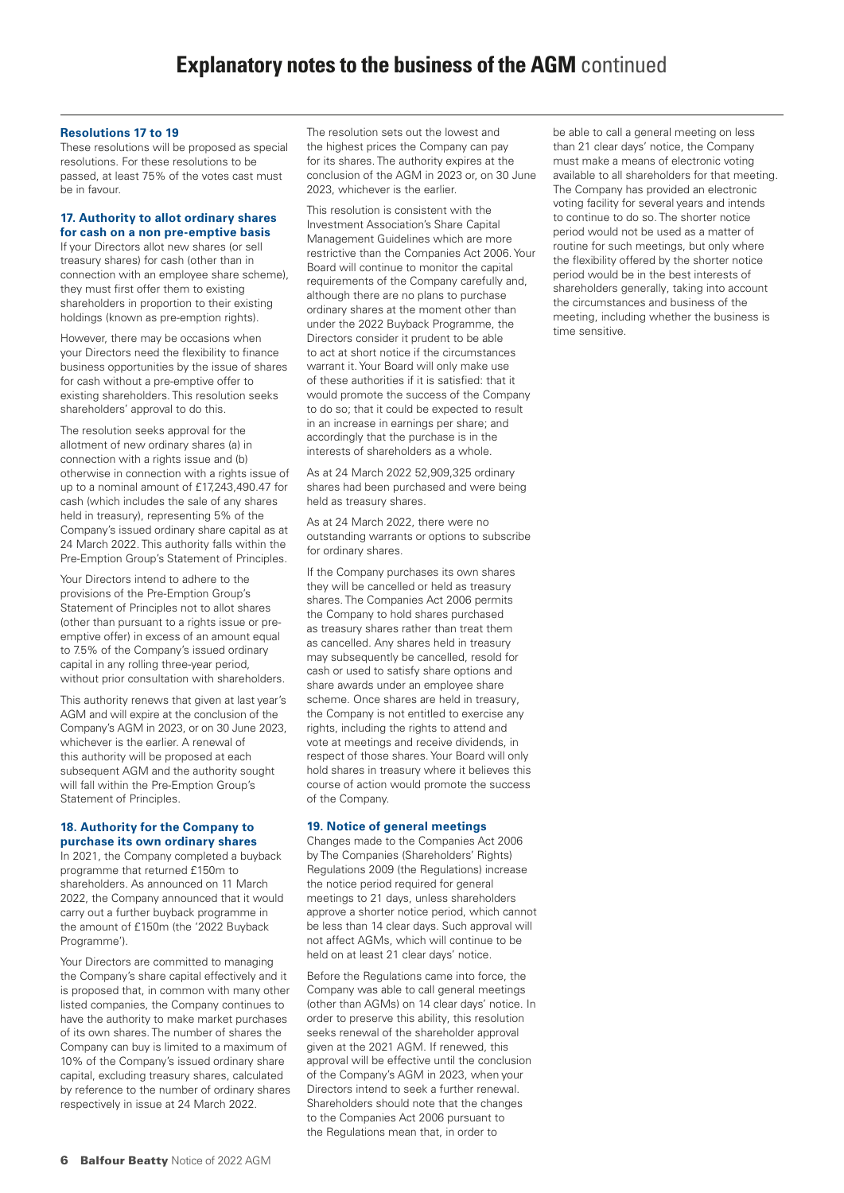#### **Resolutions 17 to 19**

These resolutions will be proposed as special resolutions. For these resolutions to be passed, at least 75% of the votes cast must be in favour.

## **17. Authority to allot ordinary shares for cash on a non pre-emptive basis**

If your Directors allot new shares (or sell treasury shares) for cash (other than in connection with an employee share scheme), they must first offer them to existing shareholders in proportion to their existing holdings (known as pre-emption rights).

However, there may be occasions when your Directors need the flexibility to finance business opportunities by the issue of shares for cash without a pre-emptive offer to existing shareholders. This resolution seeks shareholders' approval to do this.

The resolution seeks approval for the allotment of new ordinary shares (a) in connection with a rights issue and (b) otherwise in connection with a rights issue of up to a nominal amount of £17,243,490.47 for cash (which includes the sale of any shares held in treasury), representing 5% of the Company's issued ordinary share capital as at 24 March 2022. This authority falls within the Pre-Emption Group's Statement of Principles.

Your Directors intend to adhere to the provisions of the Pre-Emption Group's Statement of Principles not to allot shares (other than pursuant to a rights issue or preemptive offer) in excess of an amount equal to 7.5% of the Company's issued ordinary capital in any rolling three-year period, without prior consultation with shareholders.

This authority renews that given at last year's AGM and will expire at the conclusion of the Company's AGM in 2023, or on 30 June 2023, whichever is the earlier. A renewal of this authority will be proposed at each subsequent AGM and the authority sought will fall within the Pre-Emption Group's Statement of Principles.

#### **18. Authority for the Company to purchase its own ordinary shares**

In 2021, the Company completed a buyback programme that returned £150m to shareholders. As announced on 11 March 2022, the Company announced that it would carry out a further buyback programme in the amount of £150m (the '2022 Buyback Programme').

Your Directors are committed to managing the Company's share capital effectively and it is proposed that, in common with many other listed companies, the Company continues to have the authority to make market purchases of its own shares. The number of shares the Company can buy is limited to a maximum of 10% of the Company's issued ordinary share capital, excluding treasury shares, calculated by reference to the number of ordinary shares respectively in issue at 24 March 2022.

The resolution sets out the lowest and the highest prices the Company can pay for its shares. The authority expires at the conclusion of the AGM in 2023 or, on 30 June 2023, whichever is the earlier.

This resolution is consistent with the Investment Association's Share Capital Management Guidelines which are more restrictive than the Companies Act 2006. Your Board will continue to monitor the capital requirements of the Company carefully and, although there are no plans to purchase ordinary shares at the moment other than under the 2022 Buyback Programme, the Directors consider it prudent to be able to act at short notice if the circumstances warrant it. Your Board will only make use of these authorities if it is satisfied: that it would promote the success of the Company to do so; that it could be expected to result in an increase in earnings per share; and accordingly that the purchase is in the interests of shareholders as a whole.

As at 24 March 2022 52,909,325 ordinary shares had been purchased and were being held as treasury shares.

As at 24 March 2022, there were no outstanding warrants or options to subscribe for ordinary shares.

If the Company purchases its own shares they will be cancelled or held as treasury shares. The Companies Act 2006 permits the Company to hold shares purchased as treasury shares rather than treat them as cancelled. Any shares held in treasury may subsequently be cancelled, resold for cash or used to satisfy share options and share awards under an employee share scheme. Once shares are held in treasury, the Company is not entitled to exercise any rights, including the rights to attend and vote at meetings and receive dividends, in respect of those shares. Your Board will only hold shares in treasury where it believes this course of action would promote the success of the Company.

## **19. Notice of general meetings**

Changes made to the Companies Act 2006 by The Companies (Shareholders' Rights) Regulations 2009 (the Regulations) increase the notice period required for general meetings to 21 days, unless shareholders approve a shorter notice period, which cannot be less than 14 clear days. Such approval will not affect AGMs, which will continue to be held on at least 21 clear days' notice.

Before the Regulations came into force, the Company was able to call general meetings (other than AGMs) on 14 clear days' notice. In order to preserve this ability, this resolution seeks renewal of the shareholder approval given at the 2021 AGM. If renewed, this approval will be effective until the conclusion of the Company's AGM in 2023, when your Directors intend to seek a further renewal. Shareholders should note that the changes to the Companies Act 2006 pursuant to the Regulations mean that, in order to

be able to call a general meeting on less than 21 clear days' notice, the Company must make a means of electronic voting available to all shareholders for that meeting. The Company has provided an electronic voting facility for several years and intends to continue to do so. The shorter notice period would not be used as a matter of routine for such meetings, but only where the flexibility offered by the shorter notice period would be in the best interests of shareholders generally, taking into account the circumstances and business of the meeting, including whether the business is time sensitive.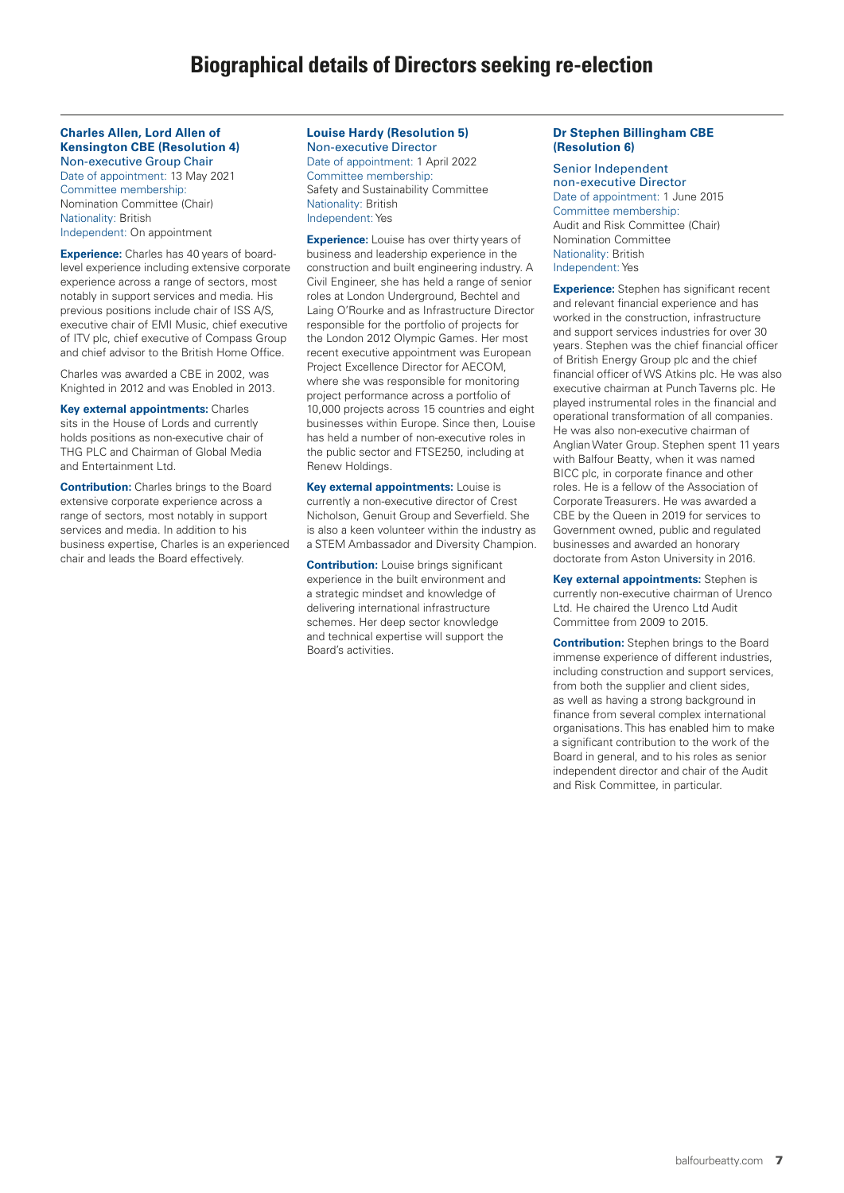#### **Charles Allen, Lord Allen of Kensington CBE (Resolution 4)** Non-executive Group Chair

Date of appointment: 13 May 2021 Committee membership: Nomination Committee (Chair) Nationality: British Independent: On appointment

**Experience:** Charles has 40 years of boardlevel experience including extensive corporate experience across a range of sectors, most notably in support services and media. His previous positions include chair of ISS A/S, executive chair of EMI Music, chief executive of ITV plc, chief executive of Compass Group and chief advisor to the British Home Office.

Charles was awarded a CBE in 2002, was Knighted in 2012 and was Enobled in 2013.

**Key external appointments:** Charles sits in the House of Lords and currently holds positions as non-executive chair of THG PLC and Chairman of Global Media and Entertainment Ltd.

**Contribution:** Charles brings to the Board extensive corporate experience across a range of sectors, most notably in support services and media. In addition to his business expertise, Charles is an experienced chair and leads the Board effectively.

#### **Louise Hardy (Resolution 5)** Non-executive Director Date of appointment: 1 April 2022 Committee membership: Safety and Sustainability Committee Nationality: British Independent: Yes

**Experience:** Louise has over thirty years of business and leadership experience in the construction and built engineering industry. A Civil Engineer, she has held a range of senior roles at London Underground, Bechtel and Laing O'Rourke and as Infrastructure Director responsible for the portfolio of projects for the London 2012 Olympic Games. Her most recent executive appointment was European Project Excellence Director for AECOM, where she was responsible for monitoring project performance across a portfolio of 10,000 projects across 15 countries and eight businesses within Europe. Since then, Louise has held a number of non-executive roles in the public sector and FTSE250, including at Renew Holdings.

**Key external appointments:** Louise is currently a non-executive director of Crest Nicholson, Genuit Group and Severfield. She is also a keen volunteer within the industry as a STEM Ambassador and Diversity Champion.

**Contribution:** Louise brings significant experience in the built environment and a strategic mindset and knowledge of delivering international infrastructure schemes. Her deep sector knowledge and technical expertise will support the Board's activities.

## **Dr Stephen Billingham CBE (Resolution 6)**

Senior Independent non-executive Director Date of appointment: 1 June 2015 Committee membership: Audit and Risk Committee (Chair) Nomination Committee Nationality: British Independent: Yes

**Experience:** Stephen has significant recent and relevant financial experience and has worked in the construction, infrastructure and support services industries for over 30 years. Stephen was the chief financial officer of British Energy Group plc and the chief financial officer of WS Atkins plc. He was also executive chairman at Punch Taverns plc. He played instrumental roles in the financial and operational transformation of all companies. He was also non-executive chairman of Anglian Water Group. Stephen spent 11 years with Balfour Beatty, when it was named BICC plc, in corporate finance and other roles. He is a fellow of the Association of Corporate Treasurers. He was awarded a CBE by the Queen in 2019 for services to Government owned, public and regulated businesses and awarded an honorary doctorate from Aston University in 2016.

**Key external appointments:** Stephen is currently non-executive chairman of Urenco Ltd. He chaired the Urenco Ltd Audit Committee from 2009 to 2015.

**Contribution:** Stephen brings to the Board immense experience of different industries, including construction and support services, from both the supplier and client sides, as well as having a strong background in finance from several complex international organisations. This has enabled him to make a significant contribution to the work of the Board in general, and to his roles as senior independent director and chair of the Audit and Risk Committee, in particular.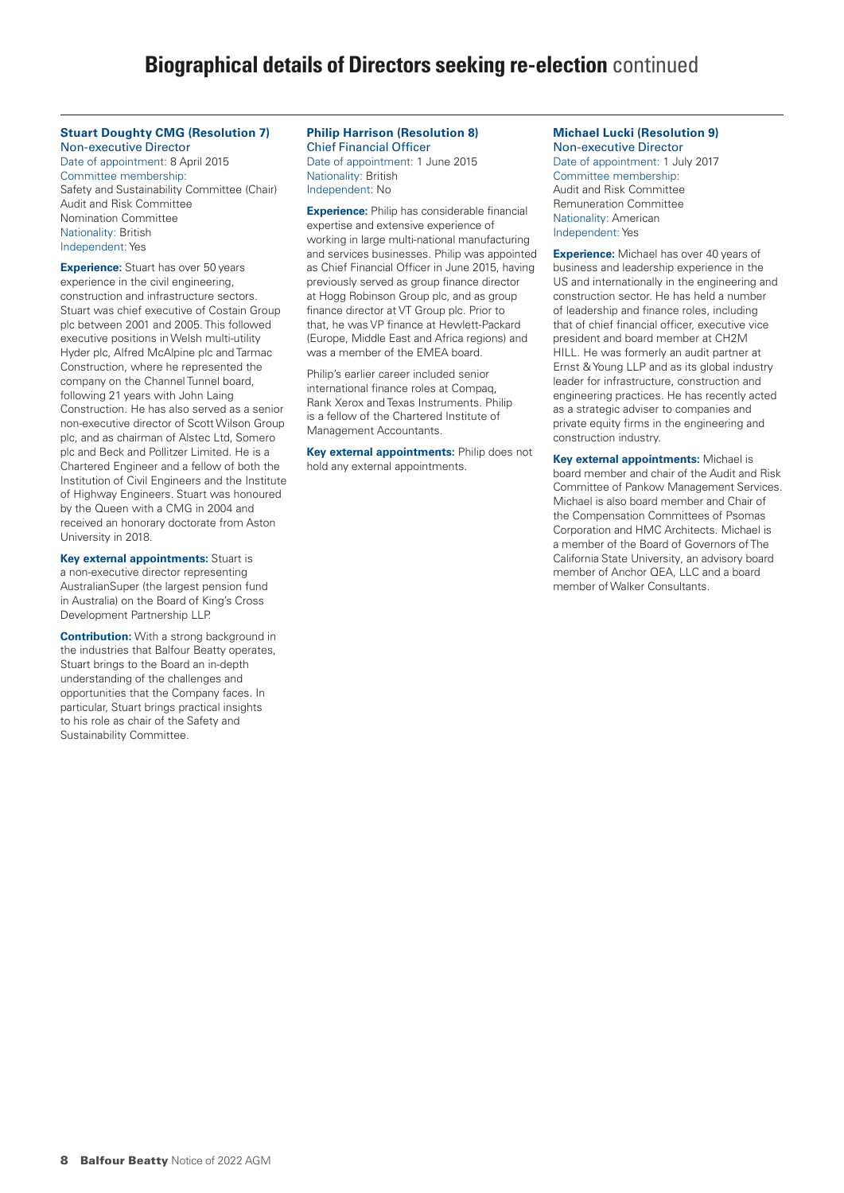#### **Stuart Doughty CMG (Resolution 7)** Non-executive Director

Date of appointment: 8 April 2015 Committee membership: Safety and Sustainability Committee (Chair) Audit and Risk Committee Nomination Committee Nationality: British Independent: Yes

**Experience:** Stuart has over 50 years experience in the civil engineering, construction and infrastructure sectors. Stuart was chief executive of Costain Group plc between 2001 and 2005. This followed executive positions in Welsh multi-utility Hyder plc, Alfred McAlpine plc and Tarmac Construction, where he represented the company on the Channel Tunnel board, following 21 years with John Laing Construction. He has also served as a senior non-executive director of Scott Wilson Group plc, and as chairman of Alstec Ltd, Somero plc and Beck and Pollitzer Limited. He is a Chartered Engineer and a fellow of both the Institution of Civil Engineers and the Institute of Highway Engineers. Stuart was honoured by the Queen with a CMG in 2004 and received an honorary doctorate from Aston University in 2018.

**Key external appointments:** Stuart is a non-executive director representing AustralianSuper (the largest pension fund in Australia) on the Board of King's Cross Development Partnership LLP.

**Contribution:** With a strong background in the industries that Balfour Beatty operates, Stuart brings to the Board an in-depth understanding of the challenges and opportunities that the Company faces. In particular, Stuart brings practical insights to his role as chair of the Safety and Sustainability Committee.

#### **Philip Harrison (Resolution 8)** Chief Financial Officer Date of appointment: 1 June 2015 Nationality: British Independent: No

**Experience:** Philip has considerable financial expertise and extensive experience of working in large multi-national manufacturing and services businesses. Philip was appointed as Chief Financial Officer in June 2015, having previously served as group finance director at Hogg Robinson Group plc, and as group finance director at VT Group plc. Prior to that, he was VP finance at Hewlett-Packard (Europe, Middle East and Africa regions) and was a member of the EMEA board.

Philip's earlier career included senior international finance roles at Compaq, Rank Xerox and Texas Instruments. Philip is a fellow of the Chartered Institute of Management Accountants.

**Key external appointments:** Philip does not hold any external appointments.

## **Michael Lucki (Resolution 9)**

Non-executive Director Date of appointment: 1 July 2017 Committee membership: Audit and Risk Committee Remuneration Committee Nationality: American Independent: Yes

**Experience:** Michael has over 40 years of business and leadership experience in the US and internationally in the engineering and construction sector. He has held a number of leadership and finance roles, including that of chief financial officer, executive vice president and board member at CH2M HILL. He was formerly an audit partner at Ernst & Young LLP and as its global industry leader for infrastructure, construction and engineering practices. He has recently acted as a strategic adviser to companies and private equity firms in the engineering and construction industry.

**Key external appointments:** Michael is board member and chair of the Audit and Risk Committee of Pankow Management Services. Michael is also board member and Chair of the Compensation Committees of Psomas Corporation and HMC Architects. Michael is a member of the Board of Governors of The California State University, an advisory board member of Anchor QEA, LLC and a board member of Walker Consultants.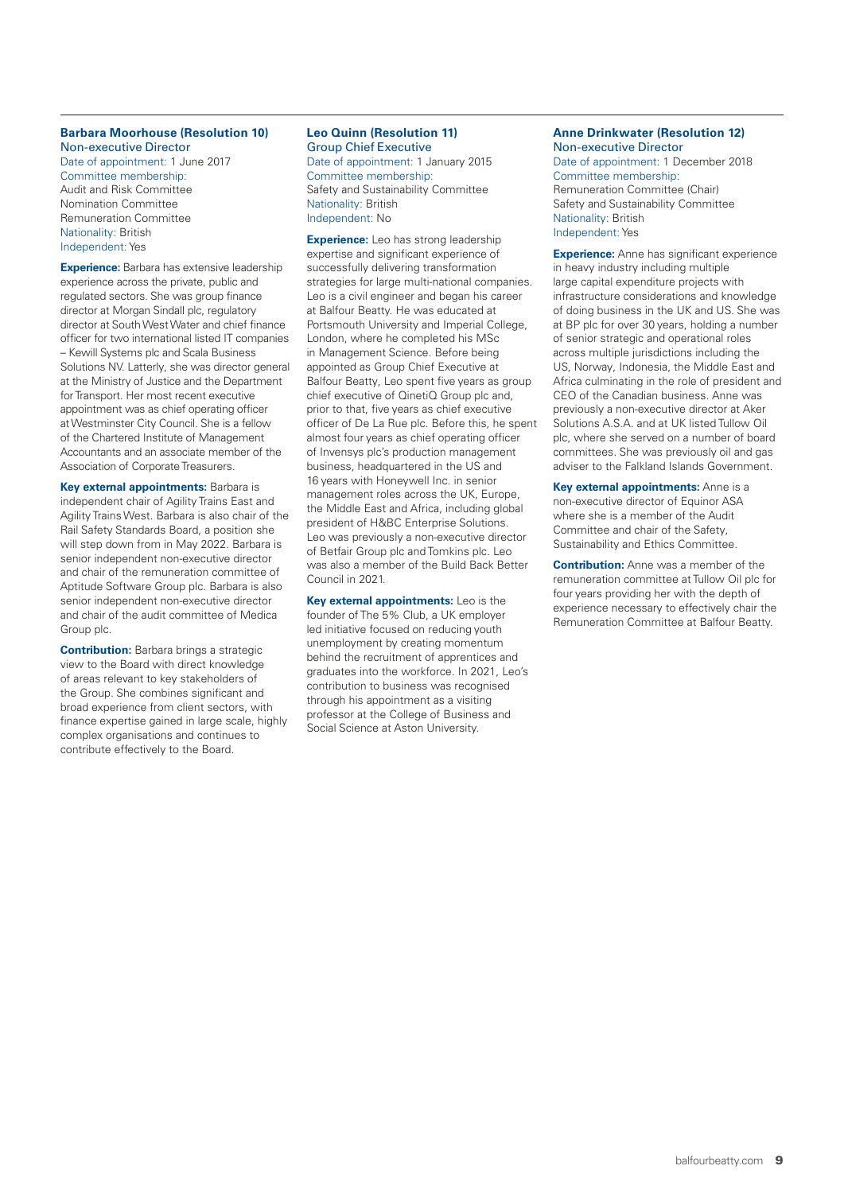#### **Barbara Moorhouse (Resolution 10)** Non-executive Director

Date of appointment: 1 June 2017 Committee membership: Audit and Risk Committee Nomination Committee Remuneration Committee Nationality: British Independent: Yes

**Experience:** Barbara has extensive leadership experience across the private, public and regulated sectors. She was group finance director at Morgan Sindall plc, regulatory director at South West Water and chief finance officer for two international listed IT companies – Kewill Systems plc and Scala Business Solutions NV. Latterly, she was director general at the Ministry of Justice and the Department for Transport. Her most recent executive appointment was as chief operating officer at Westminster City Council. She is a fellow of the Chartered Institute of Management Accountants and an associate member of the Association of Corporate Treasurers.

**Key external appointments:** Barbara is independent chair of Agility Trains East and Agility Trains West. Barbara is also chair of the Rail Safety Standards Board, a position she will step down from in May 2022. Barbara is senior independent non-executive director and chair of the remuneration committee of Aptitude Software Group plc. Barbara is also senior independent non-executive director and chair of the audit committee of Medica Group plc.

**Contribution:** Barbara brings a strategic view to the Board with direct knowledge of areas relevant to key stakeholders of the Group. She combines significant and broad experience from client sectors, with finance expertise gained in large scale, highly complex organisations and continues to contribute effectively to the Board.

## **Leo Quinn (Resolution 11)** Group Chief Executive

Date of appointment: 1 January 2015 Committee membership: Safety and Sustainability Committee Nationality: British Independent: No

**Experience:** Leo has strong leadership expertise and significant experience of successfully delivering transformation strategies for large multi-national companies. Leo is a civil engineer and began his career at Balfour Beatty. He was educated at Portsmouth University and Imperial College, London, where he completed his MSc in Management Science. Before being appointed as Group Chief Executive at Balfour Beatty, Leo spent five years as group chief executive of QinetiQ Group plc and, prior to that, five years as chief executive officer of De La Rue plc. Before this, he spent almost four years as chief operating officer of Invensys plc's production management business, headquartered in the US and 16 years with Honeywell Inc. in senior management roles across the UK, Europe, the Middle East and Africa, including global president of H&BC Enterprise Solutions. Leo was previously a non-executive director of Betfair Group plc and Tomkins plc. Leo was also a member of the Build Back Better Council in 2021.

**Key external appointments:** Leo is the founder of The 5% Club, a UK employer led initiative focused on reducing youth unemployment by creating momentum behind the recruitment of apprentices and graduates into the workforce. In 2021, Leo's contribution to business was recognised through his appointment as a visiting professor at the College of Business and Social Science at Aston University.

## **Anne Drinkwater (Resolution 12)** Non-executive Director Date of appointment: 1 December 2018 Committee membership:

Remuneration Committee (Chair) Safety and Sustainability Committee Nationality: British Independent: Yes

**Experience:** Anne has significant experience in heavy industry including multiple large capital expenditure projects with infrastructure considerations and knowledge of doing business in the UK and US. She was at BP plc for over 30 years, holding a number of senior strategic and operational roles across multiple jurisdictions including the US, Norway, Indonesia, the Middle East and Africa culminating in the role of president and CEO of the Canadian business. Anne was previously a non-executive director at Aker Solutions A.S.A. and at UK listed Tullow Oil plc, where she served on a number of board committees. She was previously oil and gas adviser to the Falkland Islands Government.

**Key external appointments:** Anne is a non-executive director of Equinor ASA where she is a member of the Audit Committee and chair of the Safety, Sustainability and Ethics Committee.

**Contribution:** Anne was a member of the remuneration committee at Tullow Oil plc for four years providing her with the depth of experience necessary to effectively chair the Remuneration Committee at Balfour Beatty.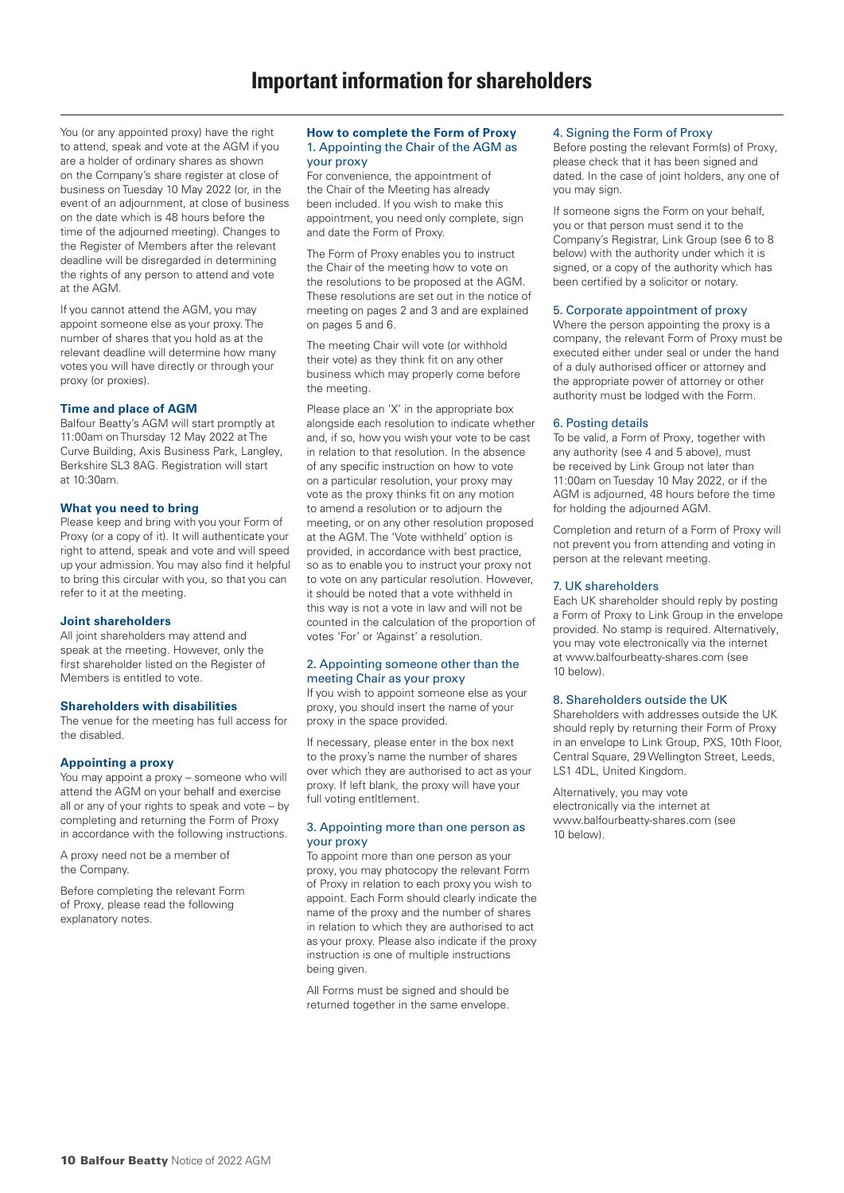You (or any appointed proxy) have the right to attend, speak and vote at the AGM if you are a holder of ordinary shares as shown on the Company's share register at close of business on Tuesday 10 May 2022 (or, in the event of an adjournment, at close of business on the date which is 48 hours before the time of the adjourned meeting). Changes to the Register of Members after the relevant deadline will be disregarded in determining the rights of any person to attend and vote at the AGM.

If you cannot attend the AGM, you may appoint someone else as your proxy. The number of shares that you hold as at the relevant deadline will determine how many votes you will have directly or through your proxy (or proxies).

## **Time and place of AGM**

Balfour Beatty's AGM will start promptly at 11:00am on Thursday 12 May 2022 at The Curve Building, Axis Business Park, Langley, Berkshire SL3 8AG. Registration will start at 10:30am.

## **What you need to bring**

Please keep and bring with you your Form of Proxy (or a copy of it). It will authenticate your right to attend, speak and vote and will speed up your admission. You may also find it helpful to bring this circular with you, so that you can refer to it at the meeting.

## **Joint shareholders**

All joint shareholders may attend and speak at the meeting. However, only the first shareholder listed on the Register of Members is entitled to vote.

## **Shareholders with disabilities**

The venue for the meeting has full access for the disabled.

## **Appointing a proxy**

You may appoint a proxy – someone who will attend the AGM on your behalf and exercise all or any of your rights to speak and vote – by completing and returning the Form of Proxy in accordance with the following instructions.

A proxy need not be a member of the Company.

Before completing the relevant Form of Proxy, please read the following explanatory notes.

#### **How to complete the Form of Proxy**  1. Appointing the Chair of the AGM as your proxy

For convenience, the appointment of the Chair of the Meeting has already been included. If you wish to make this appointment, you need only complete, sign and date the Form of Proxy.

The Form of Proxy enables you to instruct the Chair of the meeting how to vote on the resolutions to be proposed at the AGM. These resolutions are set out in the notice of meeting on pages 2 and 3 and are explained on pages 5 and 6.

The meeting Chair will vote (or withhold their vote) as they think fit on any other business which may properly come before the meeting.

Please place an 'X' in the appropriate box alongside each resolution to indicate whether and, if so, how you wish your vote to be cast in relation to that resolution. In the absence of any specific instruction on how to vote on a particular resolution, your proxy may vote as the proxy thinks fit on any motion to amend a resolution or to adjourn the meeting, or on any other resolution proposed at the AGM. The 'Vote withheld' option is provided, in accordance with best practice, so as to enable you to instruct your proxy not to vote on any particular resolution. However, it should be noted that a vote withheld in this way is not a vote in law and will not be counted in the calculation of the proportion of votes 'For' or 'Against' a resolution.

## 2. Appointing someone other than the meeting Chair as your proxy

If you wish to appoint someone else as your proxy, you should insert the name of your proxy in the space provided.

If necessary, please enter in the box next to the proxy's name the number of shares over which they are authorised to act as your proxy. If left blank, the proxy will have your full voting entltlement.

## 3. Appointing more than one person as your proxy

To appoint more than one person as your proxy, you may photocopy the relevant Form of Proxy in relation to each proxy you wish to appoint. Each Form should clearly indicate the name of the proxy and the number of shares in relation to which they are authorised to act as your proxy. Please also indicate if the proxy instruction is one of multiple instructions being given.

All Forms must be signed and should be returned together in the same envelope.

## 4. Signing the Form of Proxy

Before posting the relevant Form(s) of Proxy, please check that it has been signed and dated. In the case of joint holders, any one of you may sign.

If someone signs the Form on your behalf, you or that person must send it to the Company's Registrar, Link Group (see 6 to 8 below) with the authority under which it is signed, or a copy of the authority which has been certified by a solicitor or notary.

## 5. Corporate appointment of proxy

Where the person appointing the proxy is a company, the relevant Form of Proxy must be executed either under seal or under the hand of a duly authorised officer or attorney and the appropriate power of attorney or other authority must be lodged with the Form.

## 6. Posting details

To be valid, a Form of Proxy, together with any authority (see 4 and 5 above), must be received by Link Group not later than 11:00am on Tuesday 10 May 2022, or if the AGM is adjourned, 48 hours before the time for holding the adjourned AGM.

Completion and return of a Form of Proxy will not prevent you from attending and voting in person at the relevant meeting.

## 7. UK shareholders

Each UK shareholder should reply by posting a Form of Proxy to Link Group in the envelope provided. No stamp is required. Alternatively, you may vote electronically via the internet at www.balfourbeatty-shares.com (see 10 below).

## 8. Shareholders outside the UK

Shareholders with addresses outside the UK should reply by returning their Form of Proxy in an envelope to Link Group, PXS, 10th Floor, Central Square, 29 Wellington Street, Leeds, LS1 4DL, United Kingdom.

Alternatively, you may vote electronically via the internet at www.balfourbeatty-shares.com (see 10 below).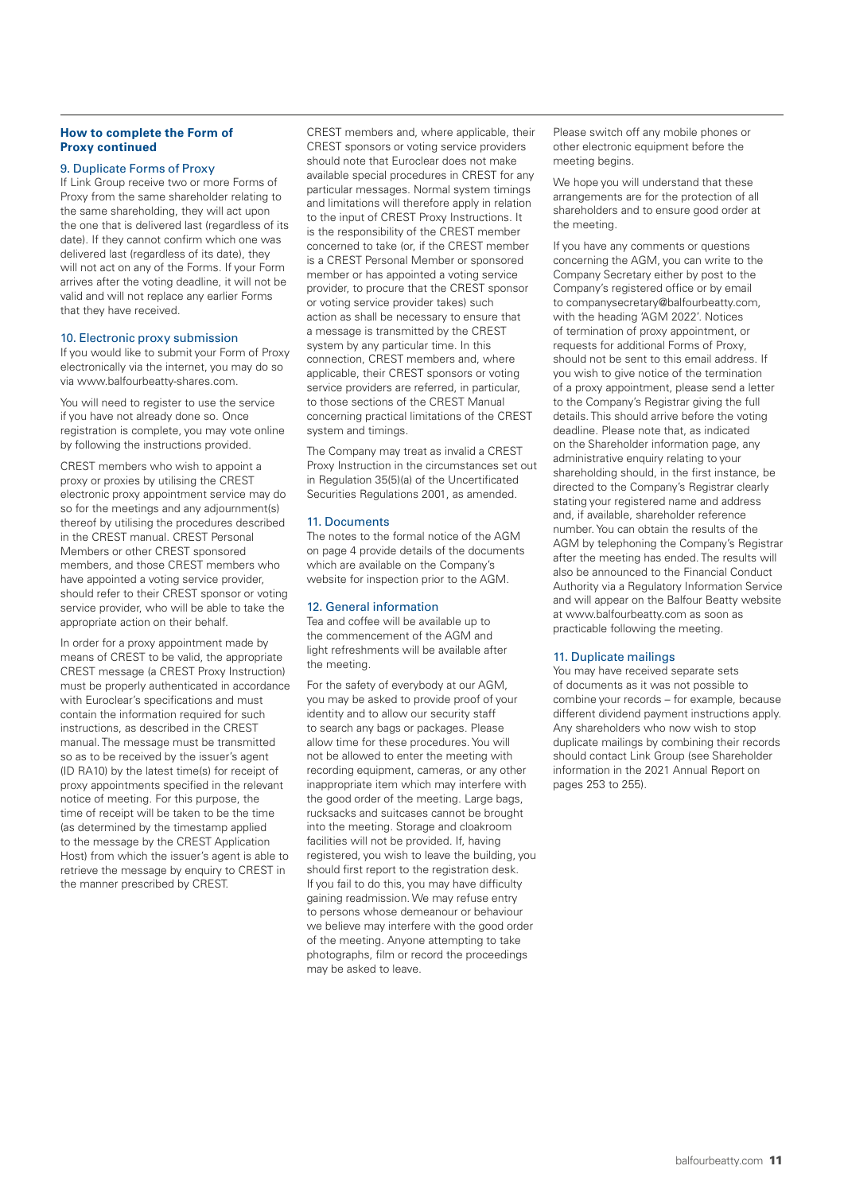## **How to complete the Form of Proxy continued**

#### 9. Duplicate Forms of Proxy

If Link Group receive two or more Forms of Proxy from the same shareholder relating to the same shareholding, they will act upon the one that is delivered last (regardless of its date). If they cannot confirm which one was delivered last (regardless of its date), they will not act on any of the Forms. If your Form arrives after the voting deadline, it will not be valid and will not replace any earlier Forms that they have received.

#### 10. Electronic proxy submission

If you would like to submit your Form of Proxy electronically via the internet, you may do so via www.balfourbeatty-shares.com.

You will need to register to use the service if you have not already done so. Once registration is complete, you may vote online by following the instructions provided.

CREST members who wish to appoint a proxy or proxies by utilising the CREST electronic proxy appointment service may do so for the meetings and any adjournment(s) thereof by utilising the procedures described in the CREST manual. CREST Personal Members or other CREST sponsored members, and those CREST members who have appointed a voting service provider, should refer to their CREST sponsor or voting service provider, who will be able to take the appropriate action on their behalf.

In order for a proxy appointment made by means of CREST to be valid, the appropriate CREST message (a CREST Proxy Instruction) must be properly authenticated in accordance with Euroclear's specifications and must contain the information required for such instructions, as described in the CREST manual. The message must be transmitted so as to be received by the issuer's agent (ID RA10) by the latest time(s) for receipt of proxy appointments specified in the relevant notice of meeting. For this purpose, the time of receipt will be taken to be the time (as determined by the timestamp applied to the message by the CREST Application Host) from which the issuer's agent is able to retrieve the message by enquiry to CREST in the manner prescribed by CREST.

CREST members and, where applicable, their CREST sponsors or voting service providers should note that Euroclear does not make available special procedures in CREST for any particular messages. Normal system timings and limitations will therefore apply in relation to the input of CREST Proxy Instructions. It is the responsibility of the CREST member concerned to take (or, if the CREST member is a CREST Personal Member or sponsored member or has appointed a voting service provider, to procure that the CREST sponsor or voting service provider takes) such action as shall be necessary to ensure that a message is transmitted by the CREST system by any particular time. In this connection, CREST members and, where applicable, their CREST sponsors or voting service providers are referred, in particular, to those sections of the CREST Manual concerning practical limitations of the CREST system and timings.

The Company may treat as invalid a CREST Proxy Instruction in the circumstances set out in Regulation 35(5)(a) of the Uncertificated Securities Regulations 2001, as amended.

## 11. Documents

The notes to the formal notice of the AGM on page 4 provide details of the documents which are available on the Company's website for inspection prior to the AGM.

## 12. General information

Tea and coffee will be available up to the commencement of the AGM and light refreshments will be available after the meeting.

For the safety of everybody at our AGM, you may be asked to provide proof of your identity and to allow our security staff to search any bags or packages. Please allow time for these procedures. You will not be allowed to enter the meeting with recording equipment, cameras, or any other inappropriate item which may interfere with the good order of the meeting. Large bags, rucksacks and suitcases cannot be brought into the meeting. Storage and cloakroom facilities will not be provided. If, having registered, you wish to leave the building, you should first report to the registration desk. If you fail to do this, you may have difficulty gaining readmission. We may refuse entry to persons whose demeanour or behaviour we believe may interfere with the good order of the meeting. Anyone attempting to take photographs, film or record the proceedings may be asked to leave.

Please switch off any mobile phones or other electronic equipment before the meeting begins.

We hope you will understand that these arrangements are for the protection of all shareholders and to ensure good order at the meeting.

If you have any comments or questions concerning the AGM, you can write to the Company Secretary either by post to the Company's registered office or by email to companysecretary@balfourbeatty.com, with the heading 'AGM 2022'. Notices of termination of proxy appointment, or requests for additional Forms of Proxy, should not be sent to this email address. If you wish to give notice of the termination of a proxy appointment, please send a letter to the Company's Registrar giving the full details. This should arrive before the voting deadline. Please note that, as indicated on the Shareholder information page, any administrative enquiry relating to your shareholding should, in the first instance, be directed to the Company's Registrar clearly stating your registered name and address and, if available, shareholder reference number. You can obtain the results of the AGM by telephoning the Company's Registrar after the meeting has ended. The results will also be announced to the Financial Conduct Authority via a Regulatory Information Service and will appear on the Balfour Beatty website at www.balfourbeatty.com as soon as practicable following the meeting.

## 11. Duplicate mailings

You may have received separate sets of documents as it was not possible to combine your records – for example, because different dividend payment instructions apply. Any shareholders who now wish to stop duplicate mailings by combining their records should contact Link Group (see Shareholder information in the 2021 Annual Report on pages 253 to 255).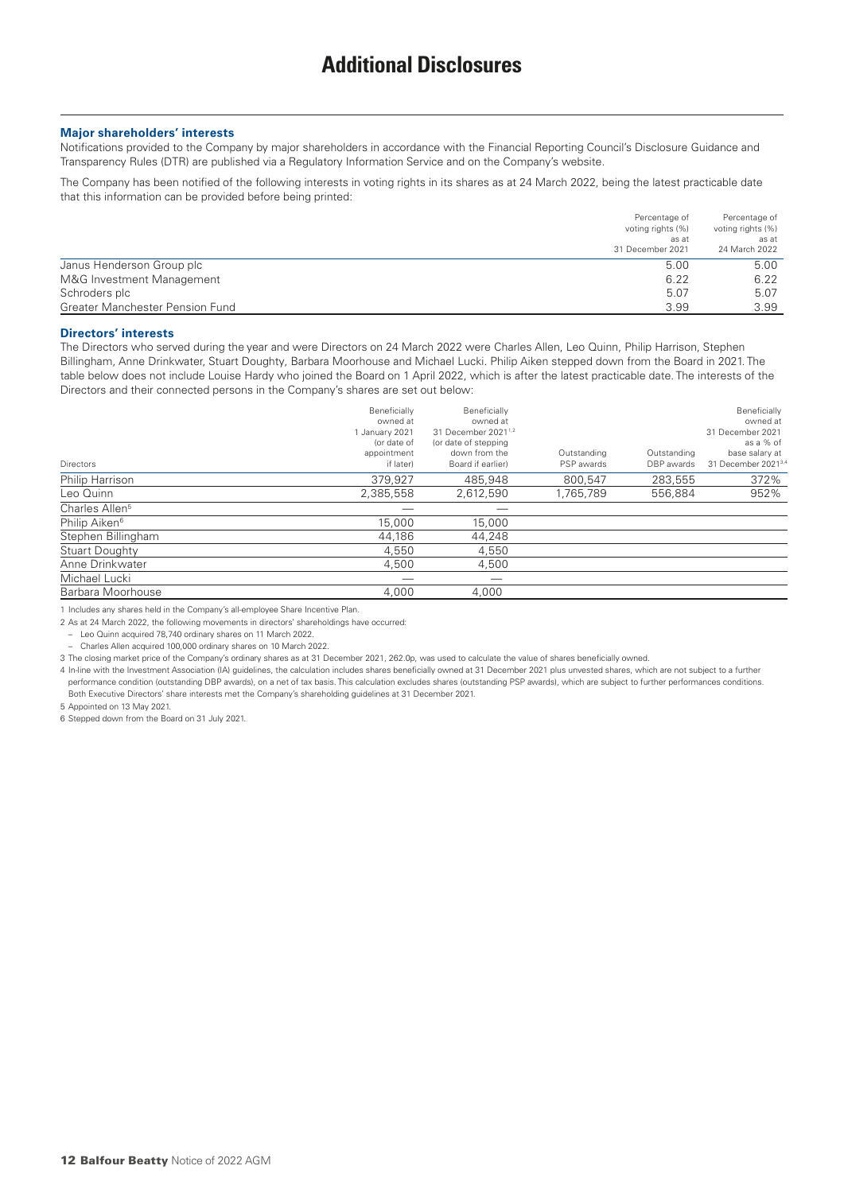#### **Major shareholders' interests**

Notifications provided to the Company by major shareholders in accordance with the Financial Reporting Council's Disclosure Guidance and Transparency Rules (DTR) are published via a Regulatory Information Service and on the Company's website.

The Company has been notified of the following interests in voting rights in its shares as at 24 March 2022, being the latest practicable date that this information can be provided before being printed:

|                                 | Percentage of     | Percentage of     |
|---------------------------------|-------------------|-------------------|
|                                 | voting rights (%) | voting rights (%) |
|                                 | as at             | as at             |
|                                 | 31 December 2021  | 24 March 2022     |
| Janus Henderson Group plc       | 5.00              | 5.00              |
| M&G Investment Management       | 6.22              | 6.22              |
| Schroders plc                   | 5.07              | 5.07              |
| Greater Manchester Pension Fund | 3.99              | 3.99              |

#### **Directors' interests**

The Directors who served during the year and were Directors on 24 March 2022 were Charles Allen, Leo Quinn, Philip Harrison, Stephen Billingham, Anne Drinkwater, Stuart Doughty, Barbara Moorhouse and Michael Lucki. Philip Aiken stepped down from the Board in 2021. The table below does not include Louise Hardy who joined the Board on 1 April 2022, which is after the latest practicable date. The interests of the Directors and their connected persons in the Company's shares are set out below:

| <b>Directors</b>           | Beneficially<br>owned at<br>January 2021<br>(or date of<br>appointment<br>if later) | Beneficially<br>owned at<br>31 December 2021 <sup>1,2</sup><br>(or date of stepping<br>down from the<br>Board if earlier) | Outstanding<br>PSP awards | Outstanding<br>DBP awards | Beneficially<br>owned at<br>31 December 2021<br>as a % of<br>base salary at<br>31 December 2021 <sup>3,4</sup> |
|----------------------------|-------------------------------------------------------------------------------------|---------------------------------------------------------------------------------------------------------------------------|---------------------------|---------------------------|----------------------------------------------------------------------------------------------------------------|
| Philip Harrison            | 379,927                                                                             | 485.948                                                                                                                   | 800.547                   | 283,555                   | 372%                                                                                                           |
| Leo Quinn                  | 2,385,558                                                                           | 2,612,590                                                                                                                 | 1,765,789                 | 556.884                   | 952%                                                                                                           |
| Charles Allen <sup>5</sup> |                                                                                     |                                                                                                                           |                           |                           |                                                                                                                |
| Philip Aiken <sup>6</sup>  | 15,000                                                                              | 15,000                                                                                                                    |                           |                           |                                                                                                                |
| Stephen Billingham         | 44.186                                                                              | 44.248                                                                                                                    |                           |                           |                                                                                                                |
| <b>Stuart Doughty</b>      | 4.550                                                                               | 4.550                                                                                                                     |                           |                           |                                                                                                                |
| Anne Drinkwater            | 4,500                                                                               | 4,500                                                                                                                     |                           |                           |                                                                                                                |
| Michael Lucki              |                                                                                     |                                                                                                                           |                           |                           |                                                                                                                |
| Barbara Moorhouse          | 4.000                                                                               | 4.000                                                                                                                     |                           |                           |                                                                                                                |

1 Includes any shares held in the Company's all-employee Share Incentive Plan.

2 As at 24 March 2022, the following movements in directors' shareholdings have occurred:

– Leo Quinn acquired 78,740 ordinary shares on 11 March 2022.

– Charles Allen acquired 100,000 ordinary shares on 10 March 2022.

3 The closing market price of the Company's ordinary shares as at 31 December 2021, 262.0p, was used to calculate the value of shares beneficially owned.

4 In-line with the Investment Association (IA) guidelines, the calculation includes shares beneficially owned at 31 December 2021 plus unvested shares, which are not subject to a further performance condition (outstanding DBP awards), on a net of tax basis. This calculation excludes shares (outstanding PSP awards), which are subject to further performances conditions. Both Executive Directors' share interests met the Company's shareholding guidelines at 31 December 2021.

5 Appointed on 13 May 2021.

6 Stepped down from the Board on 31 July 2021.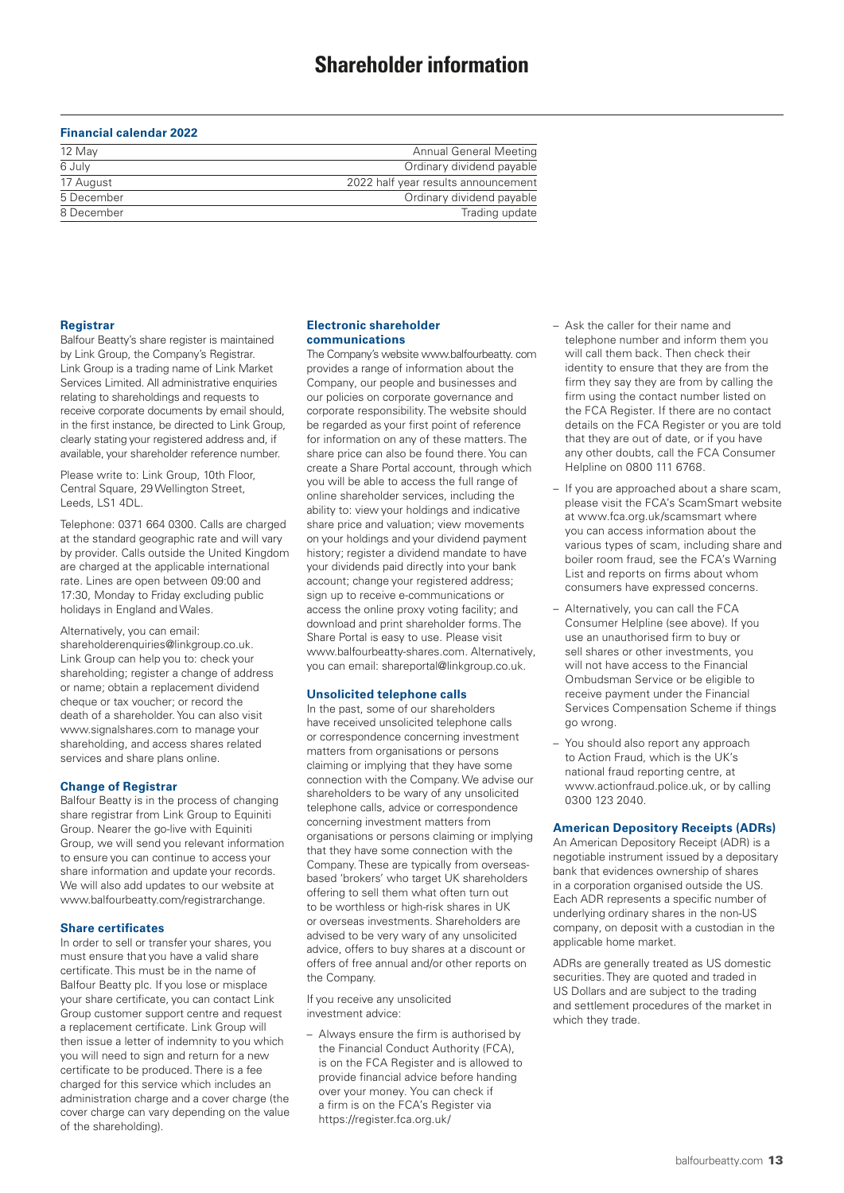## **Financial calendar 2022**

| 12 May     | Annual General Meeting              |
|------------|-------------------------------------|
| 6 July     | Ordinary dividend payable           |
| 17 August  | 2022 half year results announcement |
| 5 December | Ordinary dividend payable           |
| 8 December | Trading update                      |

#### **Registrar**

Balfour Beatty's share register is maintained by Link Group, the Company's Registrar. Link Group is a trading name of Link Market Services Limited. All administrative enquiries relating to shareholdings and requests to receive corporate documents by email should, in the first instance, be directed to Link Group, clearly stating your registered address and, if available, your shareholder reference number.

Please write to: Link Group, 10th Floor, Central Square, 29 Wellington Street, Leeds, LS1 4DL.

Telephone: 0371 664 0300. Calls are charged at the standard geographic rate and will vary by provider. Calls outside the United Kingdom are charged at the applicable international rate. Lines are open between 09:00 and 17:30, Monday to Friday excluding public holidays in England and Wales.

Alternatively, you can email: shareholderenquiries@linkgroup.co.uk. Link Group can help you to: check your shareholding; register a change of address or name; obtain a replacement dividend cheque or tax voucher; or record the death of a shareholder. You can also visit www.signalshares.com to manage your shareholding, and access shares related services and share plans online.

#### **Change of Registrar**

Balfour Beatty is in the process of changing share registrar from Link Group to Equiniti Group. Nearer the go-live with Equiniti Group, we will send you relevant information to ensure you can continue to access your share information and update your records. We will also add updates to our website at www.balfourbeatty.com/registrarchange.

#### **Share certificates**

In order to sell or transfer your shares, you must ensure that you have a valid share certificate. This must be in the name of Balfour Beatty plc. If you lose or misplace your share certificate, you can contact Link Group customer support centre and request a replacement certificate. Link Group will then issue a letter of indemnity to you which you will need to sign and return for a new certificate to be produced. There is a fee charged for this service which includes an administration charge and a cover charge (the cover charge can vary depending on the value of the shareholding).

#### **Electronic shareholder communications**

The Company's website www.balfourbeatty. com provides a range of information about the Company, our people and businesses and our policies on corporate governance and corporate responsibility. The website should be regarded as your first point of reference for information on any of these matters. The share price can also be found there. You can create a Share Portal account, through which you will be able to access the full range of online shareholder services, including the ability to: view your holdings and indicative share price and valuation; view movements on your holdings and your dividend payment history; register a dividend mandate to have your dividends paid directly into your bank account; change your registered address; sign up to receive e-communications or access the online proxy voting facility; and download and print shareholder forms. The Share Portal is easy to use. Please visit www.balfourbeatty-shares.com. Alternatively, you can email: shareportal@linkgroup.co.uk.

#### **Unsolicited telephone calls**

In the past, some of our shareholders have received unsolicited telephone calls or correspondence concerning investment matters from organisations or persons claiming or implying that they have some connection with the Company. We advise our shareholders to be wary of any unsolicited telephone calls, advice or correspondence concerning investment matters from organisations or persons claiming or implying that they have some connection with the Company. These are typically from overseasbased 'brokers' who target UK shareholders offering to sell them what often turn out to be worthless or high-risk shares in UK or overseas investments. Shareholders are advised to be very wary of any unsolicited advice, offers to buy shares at a discount or offers of free annual and/or other reports on the Company.

If you receive any unsolicited investment advice:

– Always ensure the firm is authorised by the Financial Conduct Authority (FCA), is on the FCA Register and is allowed to provide financial advice before handing over your money. You can check if a firm is on the FCA's Register via https://register.fca.org.uk/

- Ask the caller for their name and telephone number and inform them you will call them back. Then check their identity to ensure that they are from the firm they say they are from by calling the firm using the contact number listed on the FCA Register. If there are no contact details on the FCA Register or you are told that they are out of date, or if you have any other doubts, call the FCA Consumer Helpline on 0800 111 6768.
- If you are approached about a share scam, please visit the FCA's ScamSmart website at www.fca.org.uk/scamsmart where you can access information about the various types of scam, including share and boiler room fraud, see the FCA's Warning List and reports on firms about whom consumers have expressed concerns.
- Alternatively, you can call the FCA Consumer Helpline (see above). If you use an unauthorised firm to buy or sell shares or other investments, you will not have access to the Financial Ombudsman Service or be eligible to receive payment under the Financial Services Compensation Scheme if things go wrong.
- You should also report any approach to Action Fraud, which is the UK's national fraud reporting centre, at www.actionfraud.police.uk, or by calling 0300 123 2040.

#### **American Depository Receipts (ADRs)**

An American Depository Receipt (ADR) is a negotiable instrument issued by a depositary bank that evidences ownership of shares in a corporation organised outside the US. Each ADR represents a specific number of underlying ordinary shares in the non-US company, on deposit with a custodian in the applicable home market.

ADRs are generally treated as US domestic securities. They are quoted and traded in US Dollars and are subject to the trading and settlement procedures of the market in which they trade.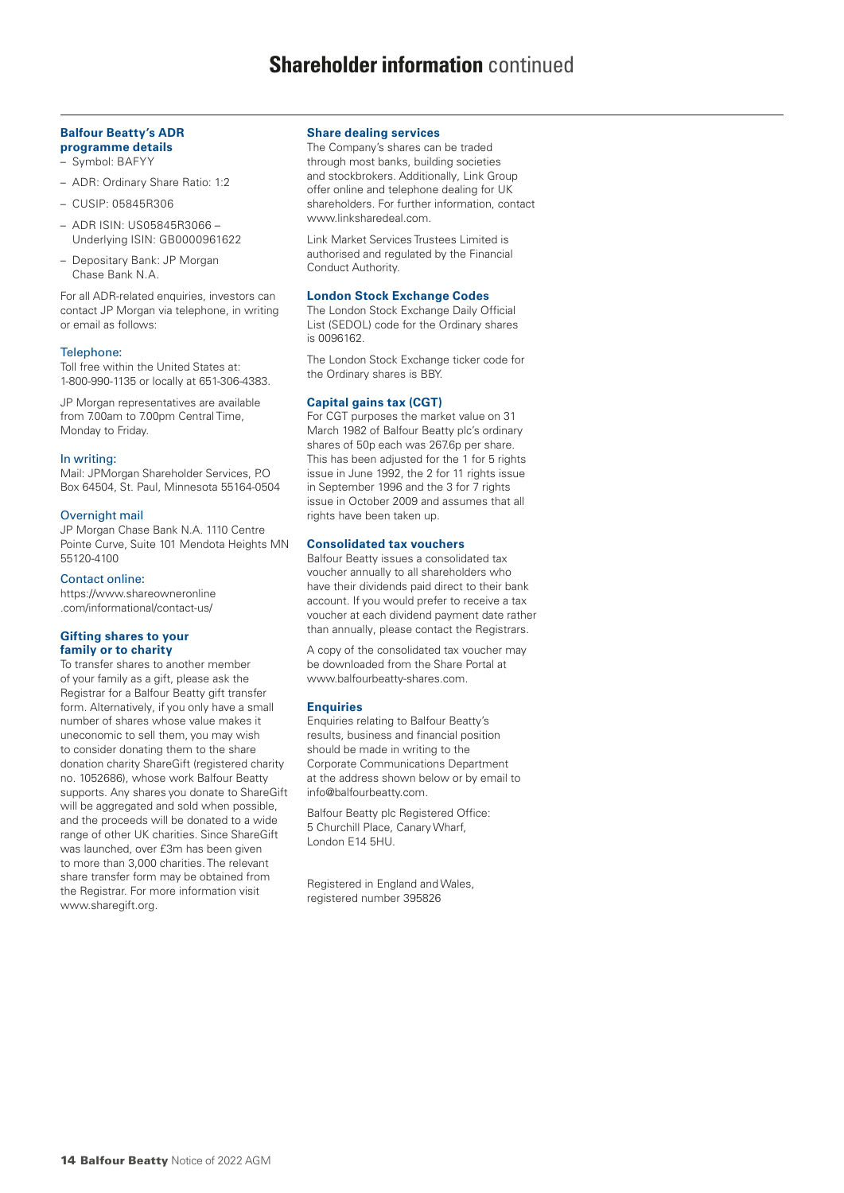# **Shareholder information** continued

#### **Balfour Beatty's ADR programme details**

– Symbol: BAFYY

- ADR: Ordinary Share Ratio: 1:2
- CUSIP: 05845R306
- ADR ISIN: US05845R3066 Underlying ISIN: GB0000961622
- Depositary Bank: JP Morgan Chase Bank N.A.

For all ADR-related enquiries, investors can contact JP Morgan via telephone, in writing or email as follows:

#### Telephone:

Toll free within the United States at: 1-800-990-1135 or locally at 651-306-4383.

JP Morgan representatives are available from 7.00am to 7.00pm Central Time, Monday to Friday.

#### In writing:

Mail: JPMorgan Shareholder Services, P.O Box 64504, St. Paul, Minnesota 55164-0504

#### Overnight mail

JP Morgan Chase Bank N.A. 1110 Centre Pointe Curve, Suite 101 Mendota Heights MN 55120-4100

#### Contact online:

https://www.shareowneronline .com/informational/contact-us/

#### **Gifting shares to your family or to charity**

To transfer shares to another member of your family as a gift, please ask the Registrar for a Balfour Beatty gift transfer form. Alternatively, if you only have a small number of shares whose value makes it uneconomic to sell them, you may wish to consider donating them to the share donation charity ShareGift (registered charity no. 1052686), whose work Balfour Beatty supports. Any shares you donate to ShareGift will be aggregated and sold when possible, and the proceeds will be donated to a wide range of other UK charities. Since ShareGift was launched, over £3m has been given to more than 3,000 charities. The relevant share transfer form may be obtained from the Registrar. For more information visit www.sharegift.org.

#### **Share dealing services**

The Company's shares can be traded through most banks, building societies and stockbrokers. Additionally, Link Group offer online and telephone dealing for UK shareholders. For further information, contact www.linksharedeal.com.

Link Market Services Trustees Limited is authorised and regulated by the Financial Conduct Authority.

#### **London Stock Exchange Codes**

The London Stock Exchange Daily Official List (SEDOL) code for the Ordinary shares is 0096162.

The London Stock Exchange ticker code for the Ordinary shares is BBY.

#### **Capital gains tax (CGT)**

For CGT purposes the market value on 31 March 1982 of Balfour Beatty plc's ordinary shares of 50p each was 267.6p per share. This has been adjusted for the 1 for 5 rights issue in June 1992, the 2 for 11 rights issue in September 1996 and the 3 for 7 rights issue in October 2009 and assumes that all rights have been taken up.

#### **Consolidated tax vouchers**

Balfour Beatty issues a consolidated tax voucher annually to all shareholders who have their dividends paid direct to their bank account. If you would prefer to receive a tax voucher at each dividend payment date rather than annually, please contact the Registrars.

A copy of the consolidated tax voucher may be downloaded from the Share Portal at www.balfourbeatty-shares.com.

#### **Enquiries**

Enquiries relating to Balfour Beatty's results, business and financial position should be made in writing to the Corporate Communications Department at the address shown below or by email to info@balfourbeatty.com.

Balfour Beatty plc Registered Office: 5 Churchill Place, Canary Wharf, London E14 5HU.

Registered in England and Wales, registered number 395826